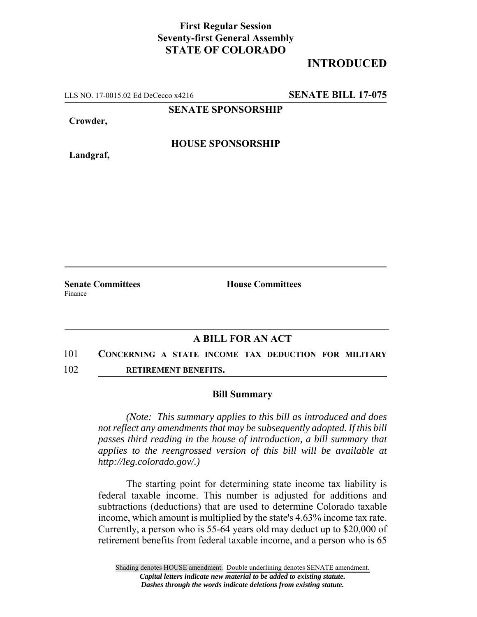## **First Regular Session Seventy-first General Assembly STATE OF COLORADO**

## **INTRODUCED**

LLS NO. 17-0015.02 Ed DeCecco x4216 **SENATE BILL 17-075**

**SENATE SPONSORSHIP**

**Crowder,**

**Landgraf,**

**HOUSE SPONSORSHIP**

Finance

**Senate Committees House Committees** 

## **A BILL FOR AN ACT**

- 101 **CONCERNING A STATE INCOME TAX DEDUCTION FOR MILITARY**
- 102 **RETIREMENT BENEFITS.**

## **Bill Summary**

*(Note: This summary applies to this bill as introduced and does not reflect any amendments that may be subsequently adopted. If this bill passes third reading in the house of introduction, a bill summary that applies to the reengrossed version of this bill will be available at http://leg.colorado.gov/.)*

The starting point for determining state income tax liability is federal taxable income. This number is adjusted for additions and subtractions (deductions) that are used to determine Colorado taxable income, which amount is multiplied by the state's 4.63% income tax rate. Currently, a person who is 55-64 years old may deduct up to \$20,000 of retirement benefits from federal taxable income, and a person who is 65

Shading denotes HOUSE amendment. Double underlining denotes SENATE amendment. *Capital letters indicate new material to be added to existing statute. Dashes through the words indicate deletions from existing statute.*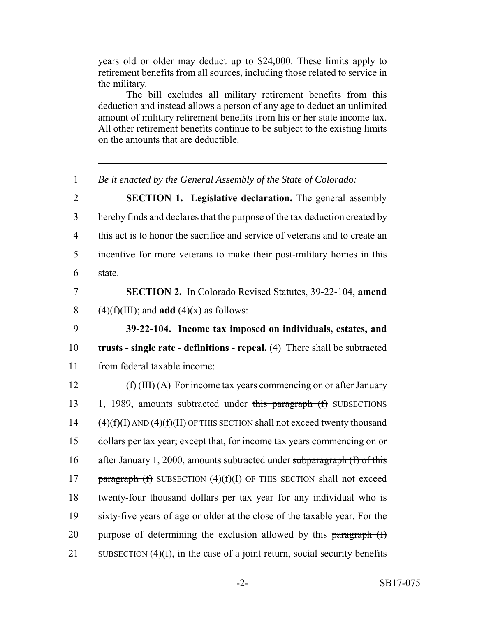years old or older may deduct up to \$24,000. These limits apply to retirement benefits from all sources, including those related to service in the military.

The bill excludes all military retirement benefits from this deduction and instead allows a person of any age to deduct an unlimited amount of military retirement benefits from his or her state income tax. All other retirement benefits continue to be subject to the existing limits on the amounts that are deductible.

1 *Be it enacted by the General Assembly of the State of Colorado:*

 **SECTION 1. Legislative declaration.** The general assembly hereby finds and declares that the purpose of the tax deduction created by this act is to honor the sacrifice and service of veterans and to create an incentive for more veterans to make their post-military homes in this 6 state.

7 **SECTION 2.** In Colorado Revised Statutes, 39-22-104, **amend** 8 (4)(f)(III); and **add** (4)(x) as follows:

9 **39-22-104. Income tax imposed on individuals, estates, and** 10 **trusts - single rate - definitions - repeal.** (4) There shall be subtracted 11 from federal taxable income:

 (f) (III) (A) For income tax years commencing on or after January 13 1, 1989, amounts subtracted under this paragraph (f) SUBSECTIONS (4)(f)(I) AND (4)(f)(II) OF THIS SECTION shall not exceed twenty thousand dollars per tax year; except that, for income tax years commencing on or 16 after January 1, 2000, amounts subtracted under subparagraph (I) of this **paragraph (f)** SUBSECTION  $(4)(f)(I)$  OF THIS SECTION shall not exceed twenty-four thousand dollars per tax year for any individual who is sixty-five years of age or older at the close of the taxable year. For the 20 purpose of determining the exclusion allowed by this paragraph  $(f)$ SUBSECTION (4)(f), in the case of a joint return, social security benefits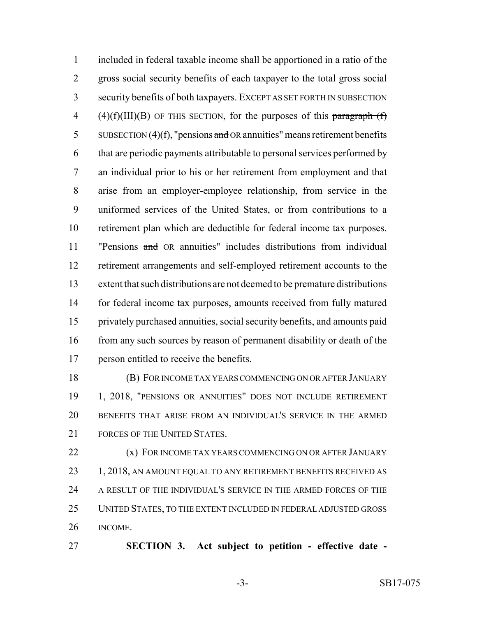included in federal taxable income shall be apportioned in a ratio of the gross social security benefits of each taxpayer to the total gross social security benefits of both taxpayers. EXCEPT AS SET FORTH IN SUBSECTION 4 (4)(f)(III)(B) OF THIS SECTION, for the purposes of this paragraph  $(f)$ 5 SUBSECTION (4)(f), "pensions and OR annuities" means retirement benefits that are periodic payments attributable to personal services performed by an individual prior to his or her retirement from employment and that arise from an employer-employee relationship, from service in the uniformed services of the United States, or from contributions to a retirement plan which are deductible for federal income tax purposes. "Pensions and OR annuities" includes distributions from individual retirement arrangements and self-employed retirement accounts to the extent that such distributions are not deemed to be premature distributions for federal income tax purposes, amounts received from fully matured privately purchased annuities, social security benefits, and amounts paid 16 from any such sources by reason of permanent disability or death of the person entitled to receive the benefits.

 (B) FOR INCOME TAX YEARS COMMENCING ON OR AFTER JANUARY 1, 2018, "PENSIONS OR ANNUITIES" DOES NOT INCLUDE RETIREMENT BENEFITS THAT ARISE FROM AN INDIVIDUAL'S SERVICE IN THE ARMED FORCES OF THE UNITED STATES.

**(x) FOR INCOME TAX YEARS COMMENCING ON OR AFTER JANUARY** 23 1, 2018, AN AMOUNT EQUAL TO ANY RETIREMENT BENEFITS RECEIVED AS A RESULT OF THE INDIVIDUAL'S SERVICE IN THE ARMED FORCES OF THE UNITED STATES, TO THE EXTENT INCLUDED IN FEDERAL ADJUSTED GROSS INCOME.

**SECTION 3. Act subject to petition - effective date -**